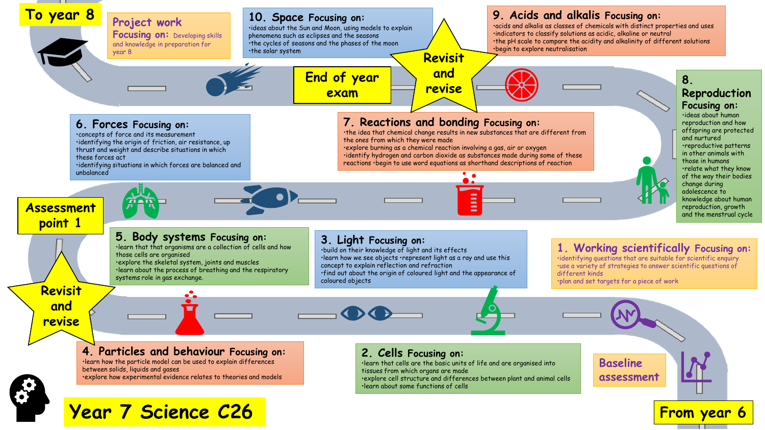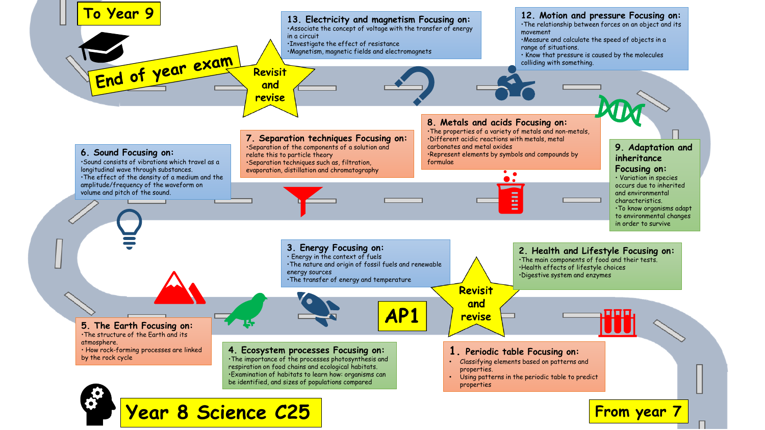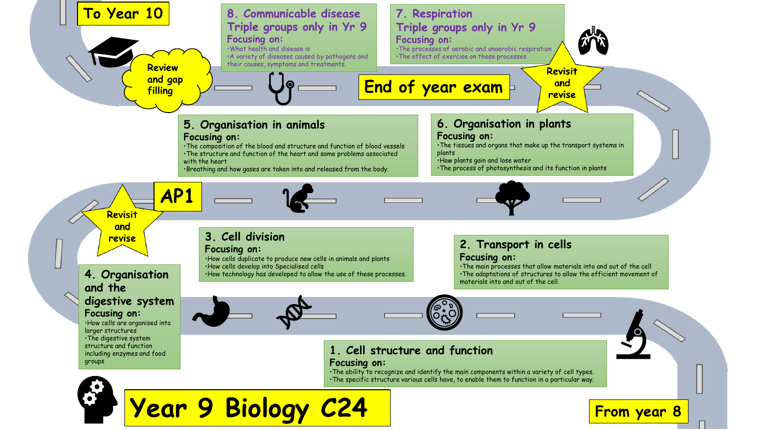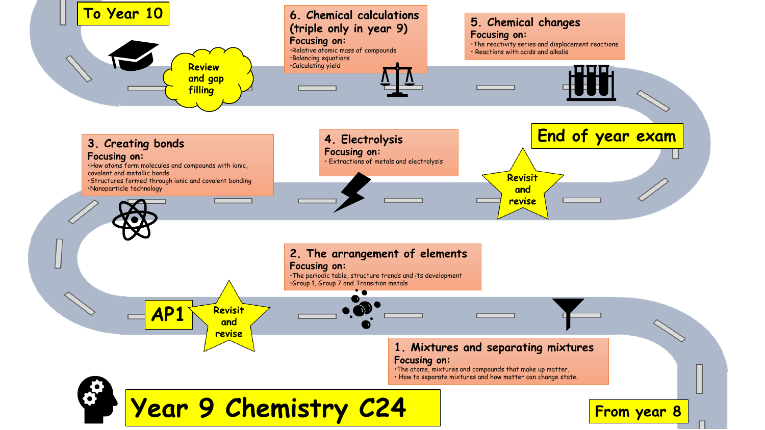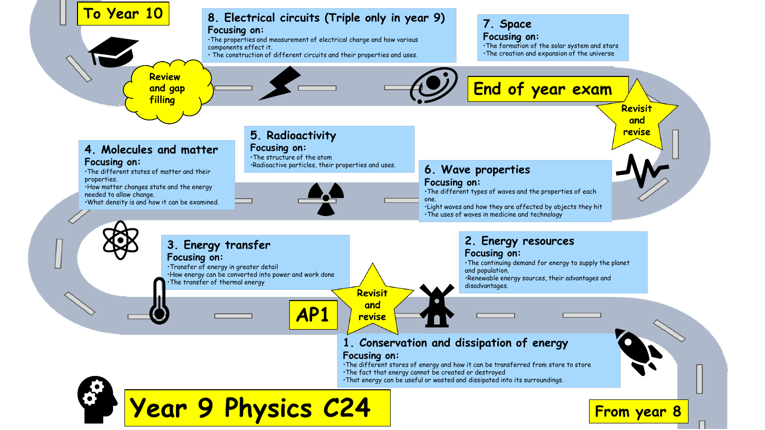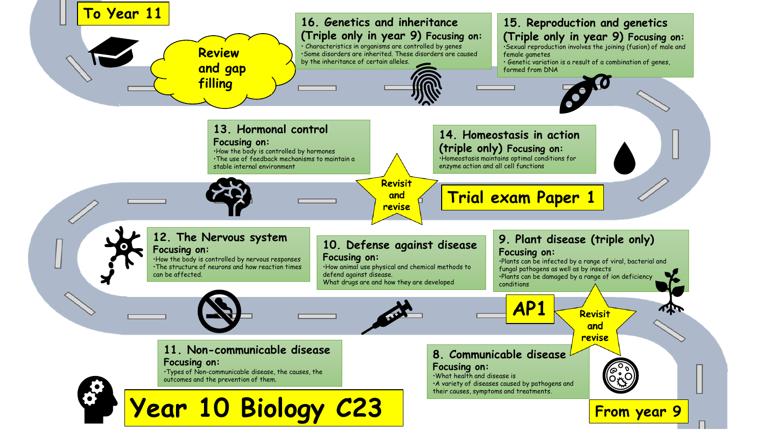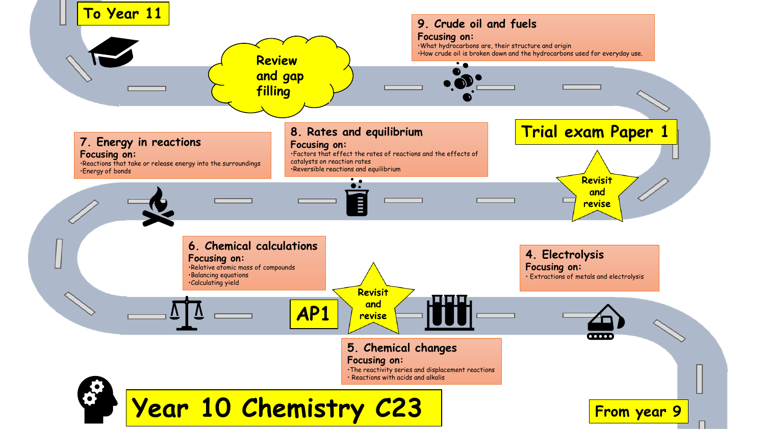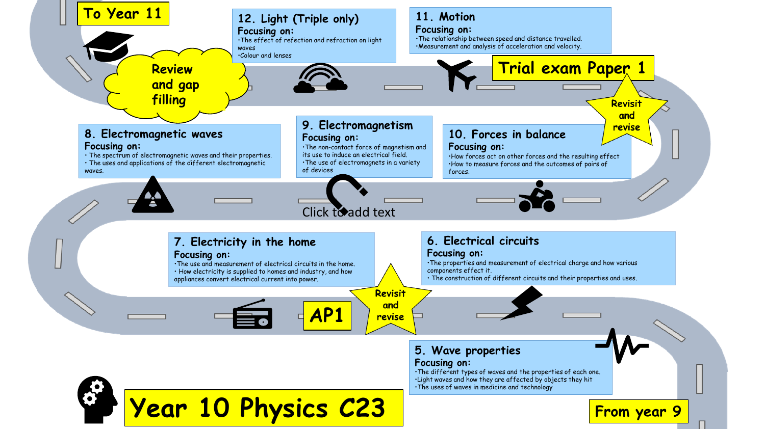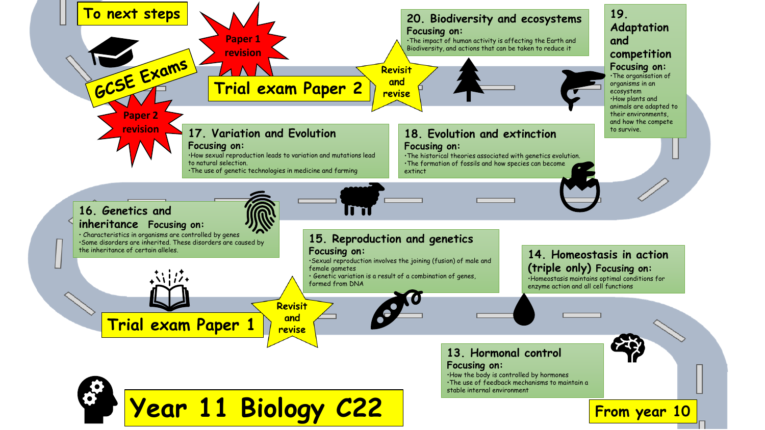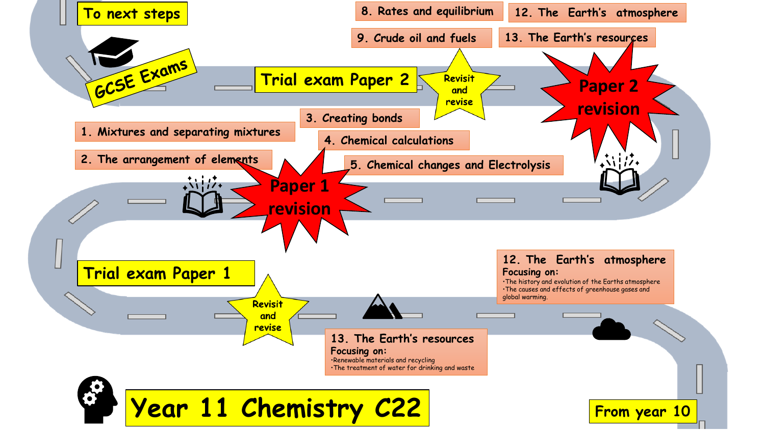